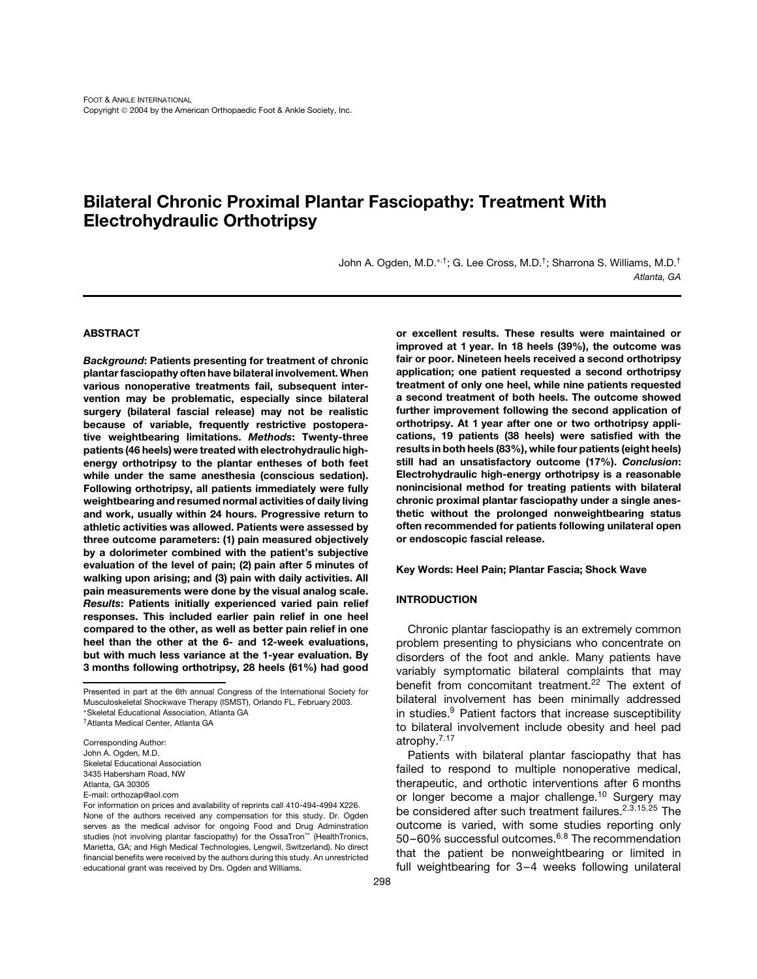# **Bilateral Chronic Proximal Plantar Fasciopathy: Treatment With Electrohydraulic Orthotripsy**

John A. Ogden, M.D.∗,†; G. Lee Cross, M.D.†; Sharrona S. Williams, M.D.† *Atlanta, GA*

> **or excellent results. These results were maintained or improved at 1 year. In 18 heels (39%), the outcome was fair or poor. Nineteen heels received a second orthotripsy application; one patient requested a second orthotripsy treatment of only one heel, while nine patients requested**

### **ABSTRACT**

*Background***: Patients presenting for treatment of chronic plantar fasciopathy often have bilateral involvement. When various nonoperative treatments fail, subsequent intervention may be problematic, especially since bilateral surgery (bilateral fascial release) may not be realistic because of variable, frequently restrictive postoperative weightbearing limitations.** *Methods***: Twenty-three patients (46 heels) were treated with electrohydraulic highenergy orthotripsy to the plantar entheses of both feet while under the same anesthesia (conscious sedation). Following orthotripsy, all patients immediately were fully weightbearing and resumed normal activities of daily living and work, usually within 24 hours. Progressive return to athletic activities was allowed. Patients were assessed by three outcome parameters: (1) pain measured objectively by a dolorimeter combined with the patient's subjective evaluation of the level of pain; (2) pain after 5 minutes of walking upon arising; and (3) pain with daily activities. All pain measurements were done by the visual analog scale.** *Results***: Patients initially experienced varied pain relief responses. This included earlier pain relief in one heel compared to the other, as well as better pain relief in one heel than the other at the 6- and 12-week evaluations, but with much less variance at the 1-year evaluation. By 3 months following orthotripsy, 28 heels (61%) had good**

†Atlanta Medical Center, Atlanta GA

Corresponding Author: John A. Ogden, M.D. Skeletal Educational Association 3435 Habersham Road, NW Atlanta, GA 30305 E-mail: orthozap@aol.com

For information on prices and availability of reprints call 410-494-4994 X226. None of the authors received any compensation for this study. Dr. Ogden serves as the medical advisor for ongoing Food and Drug Adminstration studies (not involving plantar fasciopathy) for the OssaTron<sup>™</sup> (HealthTronics, Marietta, GA; and High Medical Technologies, Lengwil, Switzerland). No direct financial benefits were received by the authors during this study. An unrestricted educational grant was received by Drs. Ogden and Williams.

**a second treatment of both heels. The outcome showed further improvement following the second application of orthotripsy. At 1 year after one or two orthotripsy applications, 19 patients (38 heels) were satisfied with the results in both heels (83%), while four patients (eight heels) still had an unsatisfactory outcome (17%).** *Conclusion***: Electrohydraulic high-energy orthotripsy is a reasonable nonincisional method for treating patients with bilateral chronic proximal plantar fasciopathy under a single anesthetic without the prolonged nonweightbearing status often recommended for patients following unilateral open or endoscopic fascial release. Key Words: Heel Pain; Plantar Fascia; Shock Wave INTRODUCTION**

Chronic plantar fasciopathy is an extremely common problem presenting to physicians who concentrate on disorders of the foot and ankle. Many patients have variably symptomatic bilateral complaints that may benefit from concomitant treatment.<sup>22</sup> The extent of bilateral involvement has been minimally addressed in studies.<sup>9</sup> Patient factors that increase susceptibility to bilateral involvement include obesity and heel pad atrophy.7,<sup>17</sup>

Patients with bilateral plantar fasciopathy that has failed to respond to multiple nonoperative medical, therapeutic, and orthotic interventions after 6 months or longer become a major challenge.<sup>10</sup> Surgery may be considered after such treatment failures.<sup>2,3,15,25</sup> The outcome is varied, with some studies reporting only 50-60% successful outcomes.<sup>6,8</sup> The recommendation that the patient be nonweightbearing or limited in full weightbearing for 3–4 weeks following unilateral

Presented in part at the 6th annual Congress of the International Society for Musculoskeletal Shockwave Therapy (ISMST), Orlando FL, February 2003. ∗Skeletal Educational Association, Atlanta GA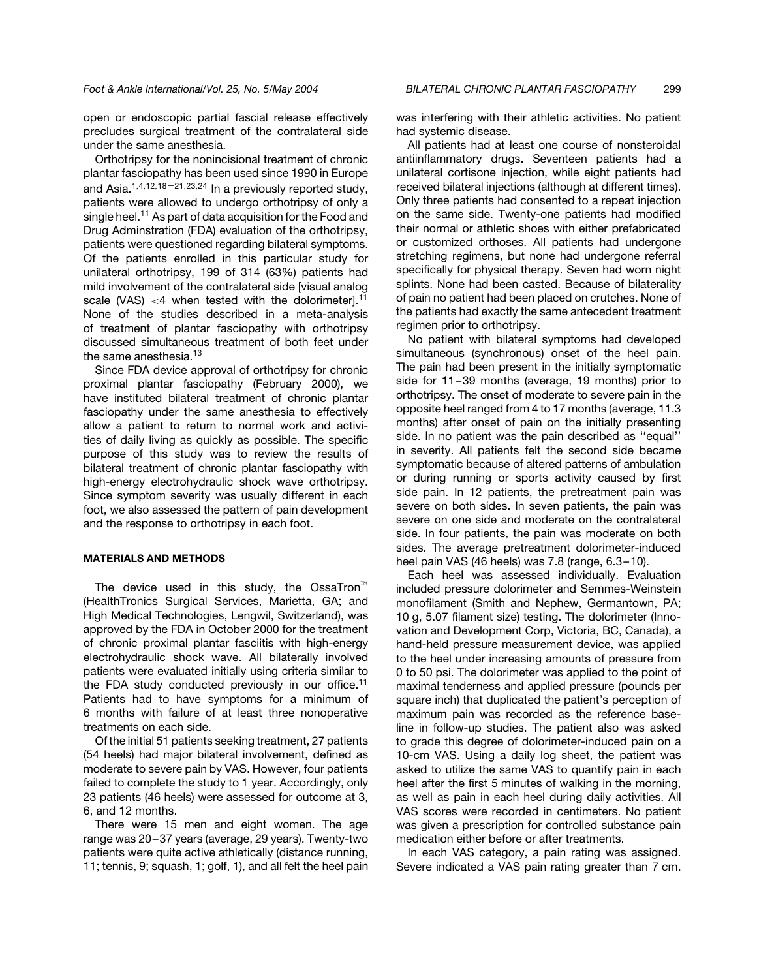open or endoscopic partial fascial release effectively precludes surgical treatment of the contralateral side under the same anesthesia.

Orthotripsy for the nonincisional treatment of chronic plantar fasciopathy has been used since 1990 in Europe and Asia.<sup>1,4,12,18-21,23,24</sup> In a previously reported study, patients were allowed to undergo orthotripsy of only a single heel.<sup>11</sup> As part of data acquisition for the Food and Drug Adminstration (FDA) evaluation of the orthotripsy, patients were questioned regarding bilateral symptoms. Of the patients enrolled in this particular study for unilateral orthotripsy, 199 of 314 (63%) patients had mild involvement of the contralateral side [visual analog scale (VAS)  $<$ 4 when tested with the dolorimeter].<sup>11</sup> None of the studies described in a meta-analysis of treatment of plantar fasciopathy with orthotripsy discussed simultaneous treatment of both feet under the same anesthesia.<sup>13</sup>

Since FDA device approval of orthotripsy for chronic proximal plantar fasciopathy (February 2000), we have instituted bilateral treatment of chronic plantar fasciopathy under the same anesthesia to effectively allow a patient to return to normal work and activities of daily living as quickly as possible. The specific purpose of this study was to review the results of bilateral treatment of chronic plantar fasciopathy with high-energy electrohydraulic shock wave orthotripsy. Since symptom severity was usually different in each foot, we also assessed the pattern of pain development and the response to orthotripsy in each foot.

#### **MATERIALS AND METHODS**

The device used in this study, the OssaTron<sup> $M$ </sup> (HealthTronics Surgical Services, Marietta, GA; and High Medical Technologies, Lengwil, Switzerland), was approved by the FDA in October 2000 for the treatment of chronic proximal plantar fasciitis with high-energy electrohydraulic shock wave. All bilaterally involved patients were evaluated initially using criteria similar to the FDA study conducted previously in our office.<sup>11</sup> Patients had to have symptoms for a minimum of 6 months with failure of at least three nonoperative treatments on each side.

Of the initial 51 patients seeking treatment, 27 patients (54 heels) had major bilateral involvement, defined as moderate to severe pain by VAS. However, four patients failed to complete the study to 1 year. Accordingly, only 23 patients (46 heels) were assessed for outcome at 3, 6, and 12 months.

There were 15 men and eight women. The age range was 20 –37 years (average, 29 years). Twenty-two patients were quite active athletically (distance running, 11; tennis, 9; squash, 1; golf, 1), and all felt the heel pain was interfering with their athletic activities. No patient had systemic disease.

All patients had at least one course of nonsteroidal antiinflammatory drugs. Seventeen patients had a unilateral cortisone injection, while eight patients had received bilateral injections (although at different times). Only three patients had consented to a repeat injection on the same side. Twenty-one patients had modified their normal or athletic shoes with either prefabricated or customized orthoses. All patients had undergone stretching regimens, but none had undergone referral specifically for physical therapy. Seven had worn night splints. None had been casted. Because of bilaterality of pain no patient had been placed on crutches. None of the patients had exactly the same antecedent treatment regimen prior to orthotripsy.

No patient with bilateral symptoms had developed simultaneous (synchronous) onset of the heel pain. The pain had been present in the initially symptomatic side for 11-39 months (average, 19 months) prior to orthotripsy. The onset of moderate to severe pain in the opposite heel ranged from 4 to 17 months (average, 11.3 months) after onset of pain on the initially presenting side. In no patient was the pain described as ''equal'' in severity. All patients felt the second side became symptomatic because of altered patterns of ambulation or during running or sports activity caused by first side pain. In 12 patients, the pretreatment pain was severe on both sides. In seven patients, the pain was severe on one side and moderate on the contralateral side. In four patients, the pain was moderate on both sides. The average pretreatment dolorimeter-induced heel pain VAS (46 heels) was 7.8 (range, 6.3 –10).

Each heel was assessed individually. Evaluation included pressure dolorimeter and Semmes-Weinstein monofilament (Smith and Nephew, Germantown, PA; 10 g, 5.07 filament size) testing. The dolorimeter (Innovation and Development Corp, Victoria, BC, Canada), a hand-held pressure measurement device, was applied to the heel under increasing amounts of pressure from 0 to 50 psi. The dolorimeter was applied to the point of maximal tenderness and applied pressure (pounds per square inch) that duplicated the patient's perception of maximum pain was recorded as the reference baseline in follow-up studies. The patient also was asked to grade this degree of dolorimeter-induced pain on a 10-cm VAS. Using a daily log sheet, the patient was asked to utilize the same VAS to quantify pain in each heel after the first 5 minutes of walking in the morning, as well as pain in each heel during daily activities. All VAS scores were recorded in centimeters. No patient was given a prescription for controlled substance pain medication either before or after treatments.

In each VAS category, a pain rating was assigned. Severe indicated a VAS pain rating greater than 7 cm.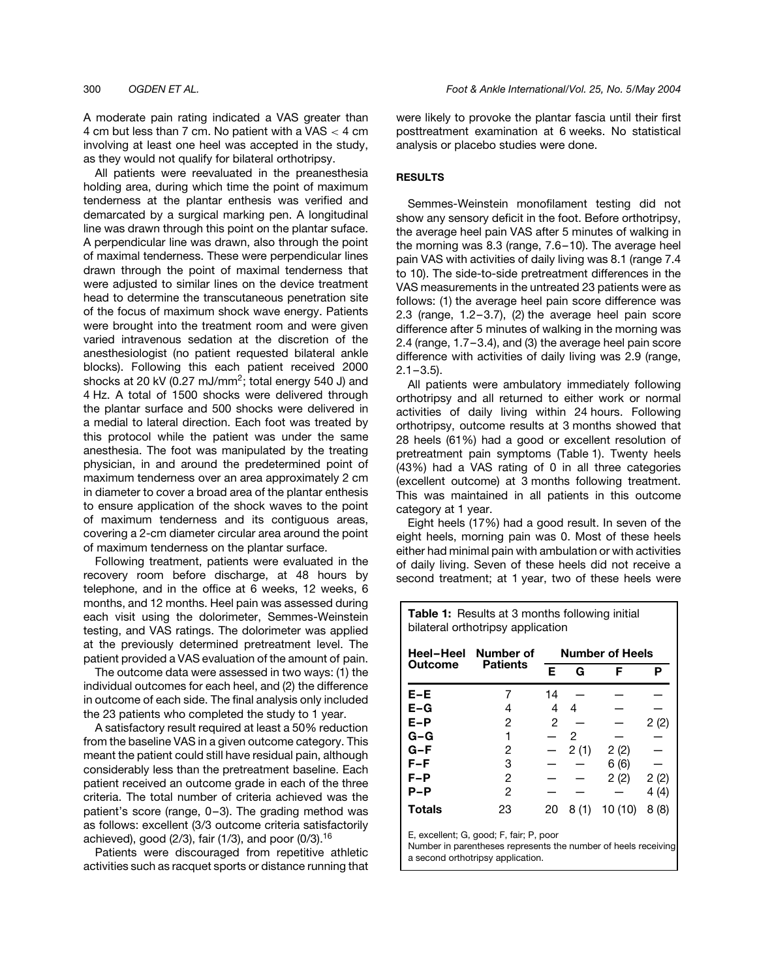A moderate pain rating indicated a VAS greater than 4 cm but less than 7 cm. No patient with a VAS  $<$  4 cm involving at least one heel was accepted in the study, as they would not qualify for bilateral orthotripsy.

All patients were reevaluated in the preanesthesia holding area, during which time the point of maximum tenderness at the plantar enthesis was verified and demarcated by a surgical marking pen. A longitudinal line was drawn through this point on the plantar suface. A perpendicular line was drawn, also through the point of maximal tenderness. These were perpendicular lines drawn through the point of maximal tenderness that were adjusted to similar lines on the device treatment head to determine the transcutaneous penetration site of the focus of maximum shock wave energy. Patients were brought into the treatment room and were given varied intravenous sedation at the discretion of the anesthesiologist (no patient requested bilateral ankle blocks). Following this each patient received 2000 shocks at 20 kV (0.27 mJ/mm<sup>2</sup>; total energy 540 J) and 4 Hz. A total of 1500 shocks were delivered through the plantar surface and 500 shocks were delivered in a medial to lateral direction. Each foot was treated by this protocol while the patient was under the same anesthesia. The foot was manipulated by the treating physician, in and around the predetermined point of maximum tenderness over an area approximately 2 cm in diameter to cover a broad area of the plantar enthesis to ensure application of the shock waves to the point of maximum tenderness and its contiguous areas, covering a 2-cm diameter circular area around the point of maximum tenderness on the plantar surface.

Following treatment, patients were evaluated in the recovery room before discharge, at 48 hours by telephone, and in the office at 6 weeks, 12 weeks, 6 months, and 12 months. Heel pain was assessed during each visit using the dolorimeter, Semmes-Weinstein testing, and VAS ratings. The dolorimeter was applied at the previously determined pretreatment level. The patient provided a VAS evaluation of the amount of pain.

The outcome data were assessed in two ways: (1) the individual outcomes for each heel, and (2) the difference in outcome of each side. The final analysis only included the 23 patients who completed the study to 1 year.

A satisfactory result required at least a 50% reduction from the baseline VAS in a given outcome category. This meant the patient could still have residual pain, although considerably less than the pretreatment baseline. Each patient received an outcome grade in each of the three criteria. The total number of criteria achieved was the patient's score (range, 0 –3). The grading method was as follows: excellent (3/3 outcome criteria satisfactorily achieved), good  $(2/3)$ , fair  $(1/3)$ , and poor  $(0/3)$ .<sup>16</sup>

Patients were discouraged from repetitive athletic activities such as racquet sports or distance running that were likely to provoke the plantar fascia until their first posttreatment examination at 6 weeks. No statistical analysis or placebo studies were done.

## **RESULTS**

Semmes-Weinstein monofilament testing did not show any sensory deficit in the foot. Before orthotripsy, the average heel pain VAS after 5 minutes of walking in the morning was 8.3 (range, 7.6 –10). The average heel pain VAS with activities of daily living was 8.1 (range 7.4 to 10). The side-to-side pretreatment differences in the VAS measurements in the untreated 23 patients were as follows: (1) the average heel pain score difference was 2.3 (range,  $1.2-3.7$ ),  $(2)$  the average heel pain score difference after 5 minutes of walking in the morning was 2.4 (range, 1.7 –3.4), and (3) the average heel pain score difference with activities of daily living was 2.9 (range,  $2.1 - 3.5$ ).

All patients were ambulatory immediately following orthotripsy and all returned to either work or normal activities of daily living within 24 hours. Following orthotripsy, outcome results at 3 months showed that 28 heels (61%) had a good or excellent resolution of pretreatment pain symptoms (Table 1). Twenty heels (43%) had a VAS rating of 0 in all three categories (excellent outcome) at 3 months following treatment. This was maintained in all patients in this outcome category at 1 year.

Eight heels (17%) had a good result. In seven of the eight heels, morning pain was 0. Most of these heels either had minimal pain with ambulation or with activities of daily living. Seven of these heels did not receive a second treatment; at 1 year, two of these heels were

**Table 1:** Results at 3 months following initial

| bilateral orthotripsy application |                              |                        |               |        |      |  |  |  |
|-----------------------------------|------------------------------|------------------------|---------------|--------|------|--|--|--|
| Heel-Heel                         | Number of<br><b>Patients</b> | <b>Number of Heels</b> |               |        |      |  |  |  |
| <b>Outcome</b>                    |                              | Е                      | G             | F      | Р    |  |  |  |
| $E-E$                             |                              | 14                     |               |        |      |  |  |  |
| $E-G$                             | 4                            | 4                      | 4             |        |      |  |  |  |
| E-P                               | 2                            | 2                      |               |        | 2(2) |  |  |  |
| $G-G$                             | 1                            |                        | $\mathcal{P}$ |        |      |  |  |  |
| G-F                               | 2                            |                        | 2(1)          | 2(2)   |      |  |  |  |
| $F-F$                             | 3                            |                        |               | 6(6)   |      |  |  |  |
| $F-P$                             | 2                            |                        |               | 2(2)   | 2(2) |  |  |  |
| $P-P$                             | 2                            |                        |               |        | 4(4) |  |  |  |
| Totals                            | 23                           | 20                     | 8(1)          | 10(10) | 8(8) |  |  |  |
|                                   |                              |                        |               |        |      |  |  |  |

E, excellent; G, good; F, fair; P, poor

Number in parentheses represents the number of heels receiving a second orthotripsy application.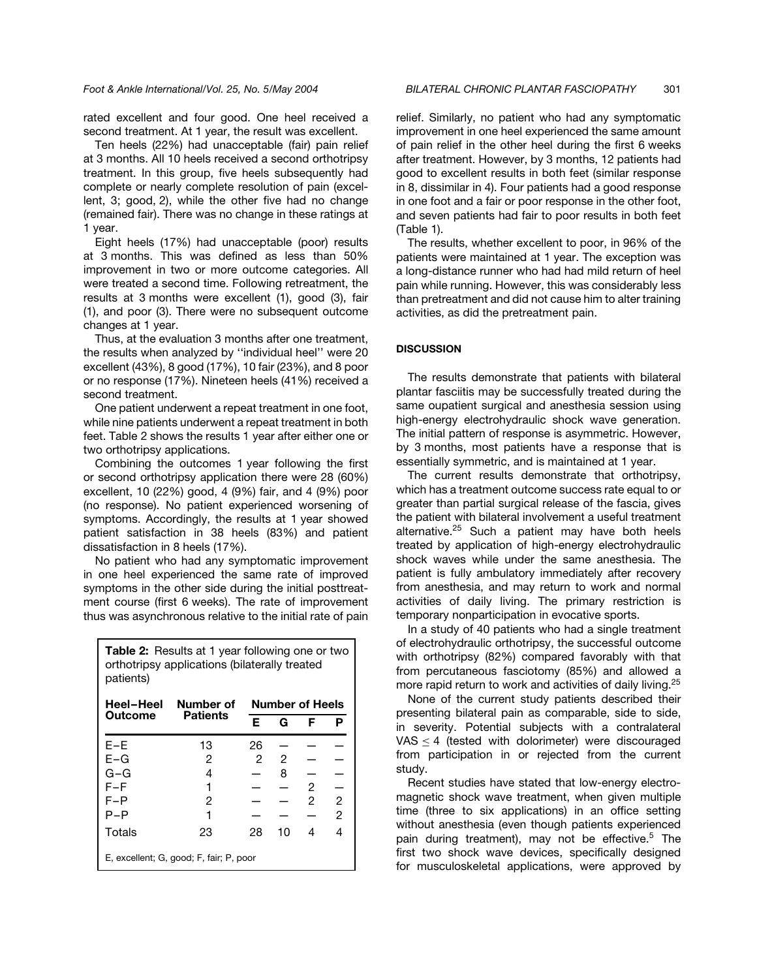rated excellent and four good. One heel received a second treatment. At 1 year, the result was excellent.

Ten heels (22%) had unacceptable (fair) pain relief at 3 months. All 10 heels received a second orthotripsy treatment. In this group, five heels subsequently had complete or nearly complete resolution of pain (excellent, 3; good, 2), while the other five had no change (remained fair). There was no change in these ratings at 1 year.

Eight heels (17%) had unacceptable (poor) results at 3 months. This was defined as less than 50% improvement in two or more outcome categories. All were treated a second time. Following retreatment, the results at 3 months were excellent (1), good (3), fair (1), and poor (3). There were no subsequent outcome changes at 1 year.

Thus, at the evaluation 3 months after one treatment, the results when analyzed by ''individual heel'' were 20 excellent (43%), 8 good (17%), 10 fair (23%), and 8 poor or no response (17%). Nineteen heels (41%) received a second treatment.

One patient underwent a repeat treatment in one foot, while nine patients underwent a repeat treatment in both feet. Table 2 shows the results 1 year after either one or two orthotripsy applications.

Combining the outcomes 1 year following the first or second orthotripsy application there were 28 (60%) excellent, 10 (22%) good, 4 (9%) fair, and 4 (9%) poor (no response). No patient experienced worsening of symptoms. Accordingly, the results at 1 year showed patient satisfaction in 38 heels (83%) and patient dissatisfaction in 8 heels (17%).

No patient who had any symptomatic improvement in one heel experienced the same rate of improved symptoms in the other side during the initial posttreatment course (first 6 weeks). The rate of improvement thus was asynchronous relative to the initial rate of pain

| <b>Table 2:</b> Results at 1 year following one or two<br>orthotripsy applications (bilaterally treated<br>patients) |                              |                        |    |   |                |  |  |  |  |
|----------------------------------------------------------------------------------------------------------------------|------------------------------|------------------------|----|---|----------------|--|--|--|--|
| Heel-Heel                                                                                                            | Number of<br><b>Patients</b> | <b>Number of Heels</b> |    |   |                |  |  |  |  |
| Outcome                                                                                                              |                              | Е                      | G  | F | P              |  |  |  |  |
| $E-E$                                                                                                                | 13                           | 26                     |    |   |                |  |  |  |  |
| $E-G$                                                                                                                | 2                            | 2                      | 2  |   |                |  |  |  |  |
| G-G                                                                                                                  | 4                            |                        | 8  |   |                |  |  |  |  |
| F–F                                                                                                                  |                              |                        |    | 2 |                |  |  |  |  |
| F-P                                                                                                                  | 2                            |                        |    | 2 | $\overline{c}$ |  |  |  |  |
| P-P                                                                                                                  |                              |                        |    |   | $\overline{2}$ |  |  |  |  |
| Totals                                                                                                               | 23                           | 28                     | 10 | 4 | 4              |  |  |  |  |
| E, excellent; G, good; F, fair; P, poor                                                                              |                              |                        |    |   |                |  |  |  |  |

relief. Similarly, no patient who had any symptomatic improvement in one heel experienced the same amount of pain relief in the other heel during the first 6 weeks after treatment. However, by 3 months, 12 patients had good to excellent results in both feet (similar response in 8, dissimilar in 4). Four patients had a good response in one foot and a fair or poor response in the other foot, and seven patients had fair to poor results in both feet (Table 1).

The results, whether excellent to poor, in 96% of the patients were maintained at 1 year. The exception was a long-distance runner who had had mild return of heel pain while running. However, this was considerably less than pretreatment and did not cause him to alter training activities, as did the pretreatment pain.

#### **DISCUSSION**

The results demonstrate that patients with bilateral plantar fasciitis may be successfully treated during the same oupatient surgical and anesthesia session using high-energy electrohydraulic shock wave generation. The initial pattern of response is asymmetric. However, by 3 months, most patients have a response that is essentially symmetric, and is maintained at 1 year.

The current results demonstrate that orthotripsy, which has a treatment outcome success rate equal to or greater than partial surgical release of the fascia, gives the patient with bilateral involvement a useful treatment alternative.<sup>25</sup> Such a patient may have both heels treated by application of high-energy electrohydraulic shock waves while under the same anesthesia. The patient is fully ambulatory immediately after recovery from anesthesia, and may return to work and normal activities of daily living. The primary restriction is temporary nonparticipation in evocative sports.

In a study of 40 patients who had a single treatment of electrohydraulic orthotripsy, the successful outcome with orthotripsy (82%) compared favorably with that from percutaneous fasciotomy (85%) and allowed a more rapid return to work and activities of daily living.<sup>25</sup>

None of the current study patients described their presenting bilateral pain as comparable, side to side, in severity. Potential subjects with a contralateral VAS  $\leq$  4 (tested with dolorimeter) were discouraged from participation in or rejected from the current study.

Recent studies have stated that low-energy electromagnetic shock wave treatment, when given multiple time (three to six applications) in an office setting without anesthesia (even though patients experienced pain during treatment), may not be effective.<sup>5</sup> The first two shock wave devices, specifically designed for musculoskeletal applications, were approved by